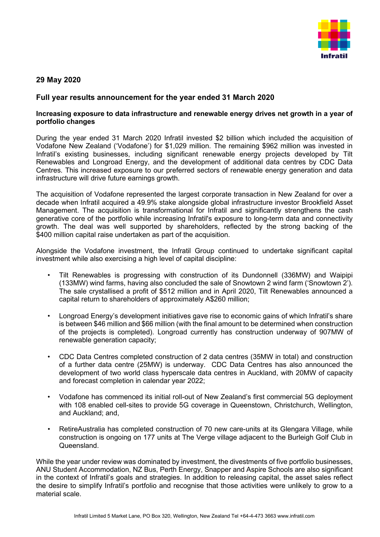

## **29 May 2020**

## **Full year results announcement for the year ended 31 March 2020**

## **Increasing exposure to data infrastructure and renewable energy drives net growth in a year of portfolio changes**

During the year ended 31 March 2020 Infratil invested \$2 billion which included the acquisition of Vodafone New Zealand ('Vodafone') for \$1,029 million. The remaining \$962 million was invested in Infratil's existing businesses, including significant renewable energy projects developed by Tilt Renewables and Longroad Energy, and the development of additional data centres by CDC Data Centres. This increased exposure to our preferred sectors of renewable energy generation and data infrastructure will drive future earnings growth.

The acquisition of Vodafone represented the largest corporate transaction in New Zealand for over a decade when Infratil acquired a 49.9% stake alongside global infrastructure investor Brookfield Asset Management. The acquisition is transformational for Infratil and significantly strengthens the cash generative core of the portfolio while increasing Infratil's exposure to long-term data and connectivity growth. The deal was well supported by shareholders, reflected by the strong backing of the \$400 million capital raise undertaken as part of the acquisition.

Alongside the Vodafone investment, the Infratil Group continued to undertake significant capital investment while also exercising a high level of capital discipline:

- Tilt Renewables is progressing with construction of its Dundonnell (336MW) and Waipipi (133MW) wind farms, having also concluded the sale of Snowtown 2 wind farm ('Snowtown 2'). The sale crystallised a profit of \$512 million and in April 2020, Tilt Renewables announced a capital return to shareholders of approximately A\$260 million;
- Longroad Energy's development initiatives gave rise to economic gains of which Infratil's share is between \$46 million and \$66 million (with the final amount to be determined when construction of the projects is completed). Longroad currently has construction underway of 907MW of renewable generation capacity;
- CDC Data Centres completed construction of 2 data centres (35MW in total) and construction of a further data centre (25MW) is underway. CDC Data Centres has also announced the development of two world class hyperscale data centres in Auckland, with 20MW of capacity and forecast completion in calendar year 2022;
- Vodafone has commenced its initial roll-out of New Zealand's first commercial 5G deployment with 108 enabled cell-sites to provide 5G coverage in Queenstown, Christchurch, Wellington, and Auckland; and,
- RetireAustralia has completed construction of 70 new care-units at its Glengara Village, while construction is ongoing on 177 units at The Verge village adjacent to the Burleigh Golf Club in Queensland.

While the year under review was dominated by investment, the divestments of five portfolio businesses, ANU Student Accommodation, NZ Bus, Perth Energy, Snapper and Aspire Schools are also significant in the context of Infratil's goals and strategies. In addition to releasing capital, the asset sales reflect the desire to simplify Infratil's portfolio and recognise that those activities were unlikely to grow to a material scale.